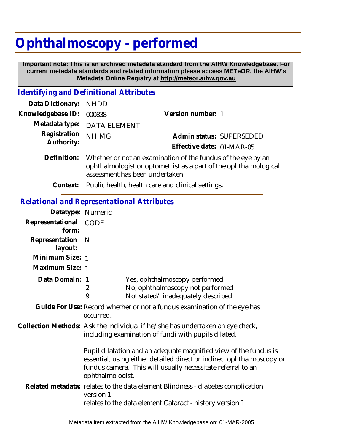## **Ophthalmoscopy - performed**

 **Important note: This is an archived metadata standard from the AIHW Knowledgebase. For current metadata standards and related information please access METeOR, the AIHW's Metadata Online Registry at http://meteor.aihw.gov.au**

## *Identifying and Definitional Attributes*

| Data Dictionary: NHDD      |                                                                                                                                                                     |                                                       |
|----------------------------|---------------------------------------------------------------------------------------------------------------------------------------------------------------------|-------------------------------------------------------|
| Knowledgebase ID:          | 000838                                                                                                                                                              | Version number: 1                                     |
|                            | Metadata type: DATA ELEMENT                                                                                                                                         |                                                       |
| Registration<br>Authority: | <b>NHIMG</b>                                                                                                                                                        | Admin status: SUPERSEDED<br>Effective date: 01-MAR-05 |
| Definition:                | Whether or not an examination of the fundus of the eye by an<br>ophthalmologist or optometrist as a part of the ophthalmological<br>assessment has been undertaken. |                                                       |

**Context:** Public health, health care and clinical settings.

## *Relational and Representational Attributes*

| Datatype: Numeric         |                                                                                                                                                                                                                                                                                                                                                                      |  |
|---------------------------|----------------------------------------------------------------------------------------------------------------------------------------------------------------------------------------------------------------------------------------------------------------------------------------------------------------------------------------------------------------------|--|
| Representational<br>form: | CODE                                                                                                                                                                                                                                                                                                                                                                 |  |
| Representation<br>layout: | <sup>N</sup>                                                                                                                                                                                                                                                                                                                                                         |  |
| Minimum Size: 1           |                                                                                                                                                                                                                                                                                                                                                                      |  |
| Maximum Size: 1           |                                                                                                                                                                                                                                                                                                                                                                      |  |
| Data Domain: 1            | Yes, ophthalmoscopy performed<br>No, ophthalmoscopy not performed<br>2<br>9<br>Not stated/inadequately described                                                                                                                                                                                                                                                     |  |
|                           | Guide For Use: Record whether or not a fundus examination of the eye has<br>occurred.                                                                                                                                                                                                                                                                                |  |
|                           | Collection Methods: Ask the individual if he/she has undertaken an eye check,<br>including examination of fundi with pupils dilated.<br>Pupil dilatation and an adequate magnified view of the fundus is<br>essential, using either detailed direct or indirect ophthalmoscopy or<br>fundus camera. This will usually necessitate referral to an<br>ophthalmologist. |  |
|                           |                                                                                                                                                                                                                                                                                                                                                                      |  |
|                           | Related metadata: relates to the data element Blindness - diabetes complication<br>version 1<br>relates to the data element Cataract - history version 1                                                                                                                                                                                                             |  |
|                           |                                                                                                                                                                                                                                                                                                                                                                      |  |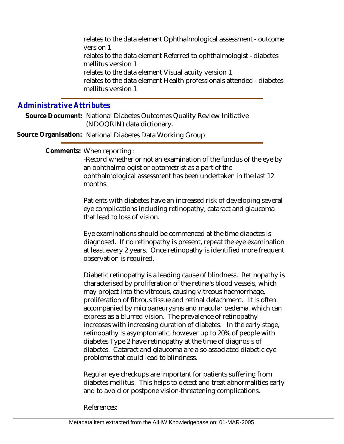relates to the data element Ophthalmological assessment - outcome version 1 relates to the data element Referred to ophthalmologist - diabetes mellitus version 1 relates to the data element Visual acuity version 1 relates to the data element Health professionals attended - diabetes mellitus version 1

## *Administrative Attributes*

Source Document: National Diabetes Outcomes Quality Review Initiative (NDOQRIN) data dictionary.

**Source Organisation:** National Diabetes Data Working Group

Comments: When reporting:

-Record whether or not an examination of the fundus of the eye by an ophthalmologist or optometrist as a part of the ophthalmological assessment has been undertaken in the last 12 months.

Patients with diabetes have an increased risk of developing several eye complications including retinopathy, cataract and glaucoma that lead to loss of vision.

Eye examinations should be commenced at the time diabetes is diagnosed. If no retinopathy is present, repeat the eye examination at least every 2 years. Once retinopathy is identified more frequent observation is required.

Diabetic retinopathy is a leading cause of blindness. Retinopathy is characterised by proliferation of the retina's blood vessels, which may project into the vitreous, causing vitreous haemorrhage, proliferation of fibrous tissue and retinal detachment. It is often accompanied by microaneurysms and macular oedema, which can express as a blurred vision. The prevalence of retinopathy increases with increasing duration of diabetes. In the early stage, retinopathy is asymptomatic, however up to 20% of people with diabetes Type 2 have retinopathy at the time of diagnosis of diabetes. Cataract and glaucoma are also associated diabetic eye problems that could lead to blindness.

Regular eye checkups are important for patients suffering from diabetes mellitus. This helps to detect and treat abnormalities early and to avoid or postpone vision-threatening complications.

References: